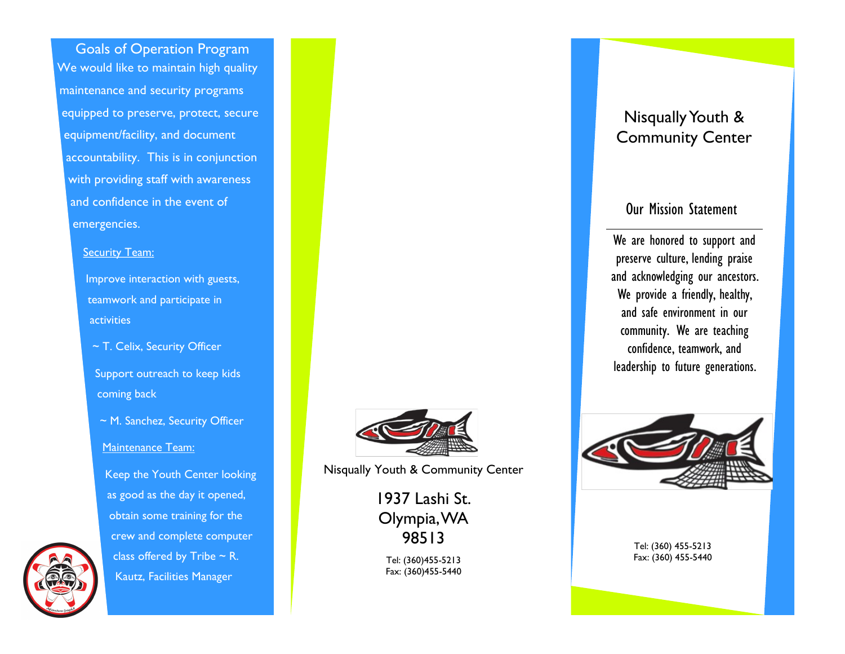Goals of Operation Program We would like to maintain high quality maintenance and security programs equipped to preserve, protect, secure equipment/facility, and document accountability. This is in conjunction with providing staff with awareness and confidence in the event of emergencies.

### **Security Team:**

Improve interaction with guests, teamwork and participate in activities

~ T. Celix, Security Officer

Support outreach to keep kids coming back

~ M. Sanchez, Security Officer

Maintenance Team:

Keep the Youth Center looking as good as the day it opened, obtain some training for the crew and complete computer class offered by Tribe  $\sim$  R. Kautz, Facilities Manager



Nisqually Youth & Community Center

1937 Lashi St. Olympia, WA 98513

Tel: (360)455-5213 Fax: (360)455-5440

## Nisqually Youth & Community Center

## Our Mission Statement

We are honored to support and preserve culture, lending praise and acknowledging our ancestors. We provide a friendly, healthy, and safe environment in our community. We are teaching confidence, teamwork, and leadership to future generations.



Tel: (360) 455-5213 Fax: (360) 455-5440